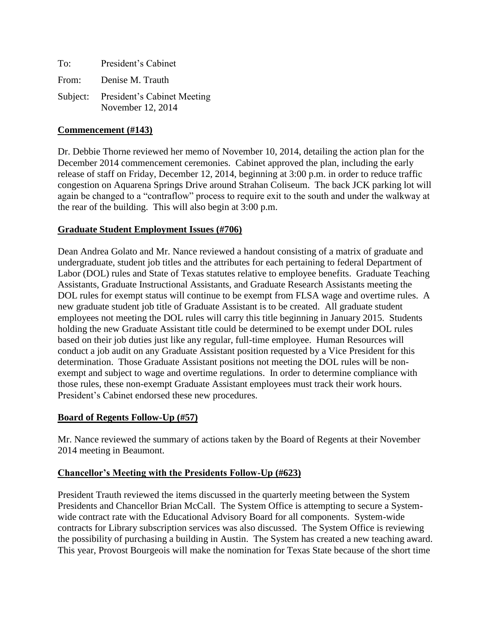To: President's Cabinet From: Denise M. Trauth Subject: President's Cabinet Meeting November 12, 2014

## **Commencement (#143)**

Dr. Debbie Thorne reviewed her memo of November 10, 2014, detailing the action plan for the December 2014 commencement ceremonies. Cabinet approved the plan, including the early release of staff on Friday, December 12, 2014, beginning at 3:00 p.m. in order to reduce traffic congestion on Aquarena Springs Drive around Strahan Coliseum. The back JCK parking lot will again be changed to a "contraflow" process to require exit to the south and under the walkway at the rear of the building. This will also begin at 3:00 p.m.

## **Graduate Student Employment Issues (#706)**

Dean Andrea Golato and Mr. Nance reviewed a handout consisting of a matrix of graduate and undergraduate, student job titles and the attributes for each pertaining to federal Department of Labor (DOL) rules and State of Texas statutes relative to employee benefits. Graduate Teaching Assistants, Graduate Instructional Assistants, and Graduate Research Assistants meeting the DOL rules for exempt status will continue to be exempt from FLSA wage and overtime rules. A new graduate student job title of Graduate Assistant is to be created. All graduate student employees not meeting the DOL rules will carry this title beginning in January 2015. Students holding the new Graduate Assistant title could be determined to be exempt under DOL rules based on their job duties just like any regular, full-time employee. Human Resources will conduct a job audit on any Graduate Assistant position requested by a Vice President for this determination. Those Graduate Assistant positions not meeting the DOL rules will be nonexempt and subject to wage and overtime regulations. In order to determine compliance with those rules, these non-exempt Graduate Assistant employees must track their work hours. President's Cabinet endorsed these new procedures.

## **Board of Regents Follow-Up (#57)**

Mr. Nance reviewed the summary of actions taken by the Board of Regents at their November 2014 meeting in Beaumont.

## **Chancellor's Meeting with the Presidents Follow-Up (#623)**

President Trauth reviewed the items discussed in the quarterly meeting between the System Presidents and Chancellor Brian McCall. The System Office is attempting to secure a Systemwide contract rate with the Educational Advisory Board for all components. System-wide contracts for Library subscription services was also discussed. The System Office is reviewing the possibility of purchasing a building in Austin. The System has created a new teaching award. This year, Provost Bourgeois will make the nomination for Texas State because of the short time